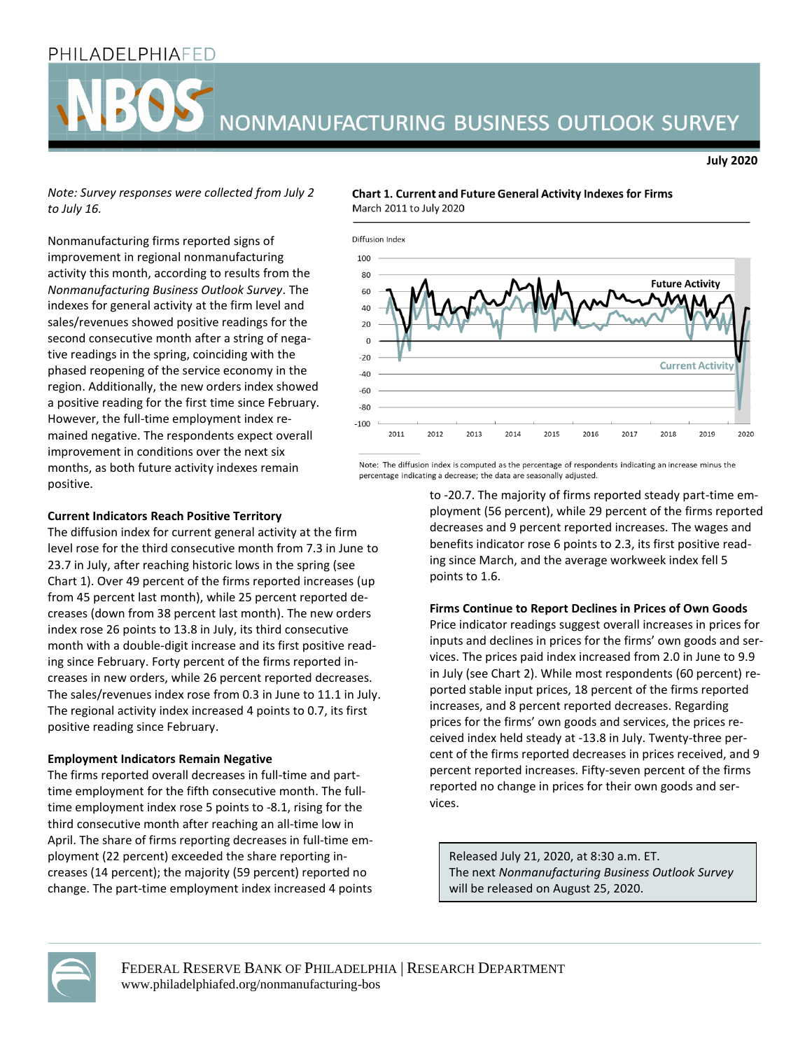## PHILADELPHIAFED

# NONMANUFACTURING BUSINESS OUTLOOK SURVEY

*Note: Survey responses were collected from July 2 to July 16.*

Nonmanufacturing firms reported signs of improvement in regional nonmanufacturing activity this month, according to results from the *Nonmanufacturing Business Outlook Survey*. The indexes for general activity at the firm level and sales/revenues showed positive readings for the second consecutive month after a string of negative readings in the spring, coinciding with the phased reopening of the service economy in the region. Additionally, the new orders index showed a positive reading for the first time since February. However, the full-time employment index remained negative. The respondents expect overall improvement in conditions over the next six months, as both future activity indexes remain positive.

### **Current Indicators Reach Positive Territory**

The diffusion index for current general activity at the firm level rose for the third consecutive month from 7.3 in June to 23.7 in July, after reaching historic lows in the spring (see Chart 1). Over 49 percent of the firms reported increases (up from 45 percent last month), while 25 percent reported decreases (down from 38 percent last month). The new orders index rose 26 points to 13.8 in July, its third consecutive month with a double-digit increase and its first positive reading since February. Forty percent of the firms reported increases in new orders, while 26 percent reported decreases. The sales/revenues index rose from 0.3 in June to 11.1 in July. The regional activity index increased 4 points to 0.7, its first positive reading since February.

#### **Employment Indicators Remain Negative**

The firms reported overall decreases in full-time and parttime employment for the fifth consecutive month. The fulltime employment index rose 5 points to -8.1, rising for the third consecutive month after reaching an all-time low in April. The share of firms reporting decreases in full-time employment (22 percent) exceeded the share reporting increases (14 percent); the majority (59 percent) reported no change. The part-time employment index increased 4 points

#### **Chart 1. Current and Future General Activity Indexes for Firms** March 2011 to July 2020



Note: The diffusion index is computed as the percentage of respondents indicating an increase minus the percentage indicating a decrease; the data are seasonally adjusted.

> to -20.7. The majority of firms reported steady part-time employment (56 percent), while 29 percent of the firms reported decreases and 9 percent reported increases. The wages and benefits indicator rose 6 points to 2.3, its first positive reading since March, and the average workweek index fell 5 points to 1.6.

**July 2020**

#### **Firms Continue to Report Declines in Prices of Own Goods**

Price indicator readings suggest overall increases in prices for inputs and declines in prices for the firms' own goods and services. The prices paid index increased from 2.0 in June to 9.9 in July (see Chart 2). While most respondents (60 percent) reported stable input prices, 18 percent of the firms reported increases, and 8 percent reported decreases. Regarding prices for the firms' own goods and services, the prices received index held steady at -13.8 in July. Twenty-three percent of the firms reported decreases in prices received, and 9 percent reported increases. Fifty-seven percent of the firms reported no change in prices for their own goods and services.

Released July 21, 2020, at 8:30 a.m. ET. The next *Nonmanufacturing Business Outlook Survey* will be released on August 25, 2020.